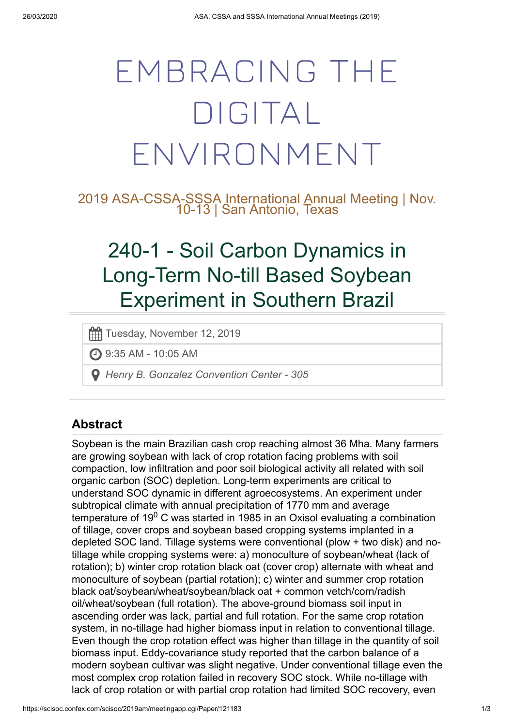# EMBRACING THE DIGITAL ENVIRONMENT

2019 ASA-CSSA-SSSA International Annual Meeting | Nov. 10-13 | San Antonio, Texas

## 240-1 - Soil Carbon Dynamics in Long-Term No-till Based Soybean Experiment in Southern Brazil

Tuesday, November 12, 2019

9:35 AM - 10:05 AM

*Henry B. Gonzalez Convention Center - 305*

### **Abstract**

Soybean is the main Brazilian cash crop reaching almost 36 Mha. Many farmers are growing soybean with lack of crop rotation facing problems with soil compaction, low infiltration and poor soil biological activity all related with soil organic carbon (SOC) depletion. Long-term experiments are critical to understand SOC dynamic in different agroecosystems. An experiment under subtropical climate with annual precipitation of 1770 mm and average temperature of 19 $\rm ^0$  C was started in 1985 in an Oxisol evaluating a combination of tillage, cover crops and soybean based cropping systems implanted in a depleted SOC land. Tillage systems were conventional (plow + two disk) and notillage while cropping systems were: a) monoculture of soybean/wheat (lack of rotation); b) winter crop rotation black oat (cover crop) alternate with wheat and monoculture of soybean (partial rotation); c) winter and summer crop rotation black oat/soybean/wheat/soybean/black oat + common vetch/corn/radish oil/wheat/soybean (full rotation). The above-ground biomass soil input in ascending order was lack, partial and full rotation. For the same crop rotation system, in no-tillage had higher biomass input in relation to conventional tillage. Even though the crop rotation effect was higher than tillage in the quantity of soil biomass input. Eddy-covariance study reported that the carbon balance of a modern soybean cultivar was slight negative. Under conventional tillage even the most complex crop rotation failed in recovery SOC stock. While no-tillage with lack of crop rotation or with partial crop rotation had limited SOC recovery, even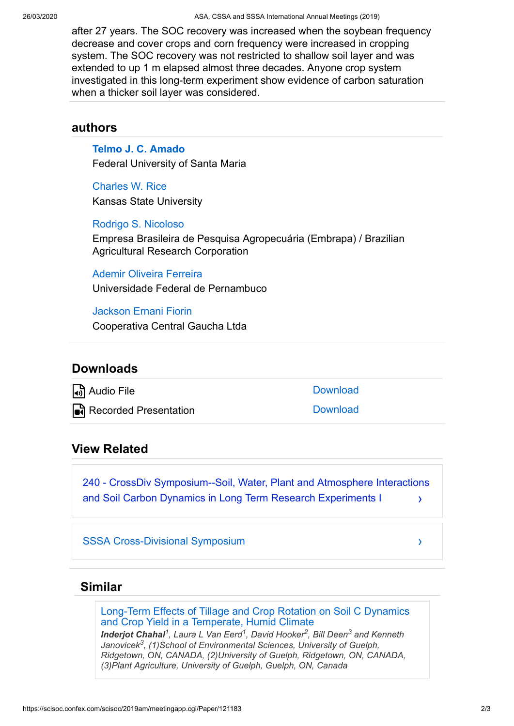after 27 years. The SOC recovery was increased when the soybean frequency decrease and cover crops and corn frequency were increased in cropping system. The SOC recovery was not restricted to shallow soil layer and was extended to up 1 m elapsed almost three decades. Anyone crop system investigated in this long-term experiment show evidence of carbon saturation when a thicker soil layer was considered.

#### **authors**

**[Telmo J. C. Amado](https://scisoc.confex.com/scisoc/2019am/meetingapp.cgi/Person/510797)** Federal University of Santa Maria

[Charles W. Rice](https://scisoc.confex.com/scisoc/2019am/meetingapp.cgi/Person/364860) Kansas State University

[Rodrigo S. Nicoloso](https://scisoc.confex.com/scisoc/2019am/meetingapp.cgi/Person/466911)

Empresa Brasileira de Pesquisa Agropecuária (Embrapa) / Brazilian Agricultural Research Corporation

[Ademir Oliveira Ferreira](https://scisoc.confex.com/scisoc/2019am/meetingapp.cgi/Person/537810) Universidade Federal de Pernambuco

[Jackson Ernani Fiorin](https://scisoc.confex.com/scisoc/2019am/meetingapp.cgi/Person/537811)

Cooperativa Central Gaucha Ltda

#### **Downloads**

Audio File [Download](https://scisoc.confex.com/scisoc/2019am/recordingredirect.cgi/oid/Recording37070/paper121183_1.mp3)

**Ia**ते Recorded Presentation [Download](https://scisoc.confex.com/scisoc/2019am/recordingredirect.cgi/oid/Recording37102/paper121183_1.mp4)

#### **View Related**

› [240 - CrossDiv Symposium--Soil, Water, Plant and Atmosphere Interactions](https://scisoc.confex.com/scisoc/2019am/meetingapp.cgi/Session/19663) and Soil Carbon Dynamics in Long Term Research Experiments I

[SSSA Cross-Divisional Symposium](https://scisoc.confex.com/scisoc/2019am/meetingapp.cgi/Program/1909)

#### **Similar**

[Long-Term Effects of Tillage and Crop Rotation on Soil C Dynamics](https://scisoc.confex.com/scisoc/2019am/meetingapp.cgi/Paper/120969) and Crop Yield in a Temperate, Humid Climate

*Inderjot Chahal , Laura L Van Eerd , David Hooker , Bill Deen and Kenneth 1 1 2 3 Janovicek<sup>3</sup>, (1)School of Environmental Sciences, University of Guelph, Ridgetown, ON, CANADA, (2)University of Guelph, Ridgetown, ON, CANADA, (3)Plant Agriculture, University of Guelph, Guelph, ON, Canada*

›